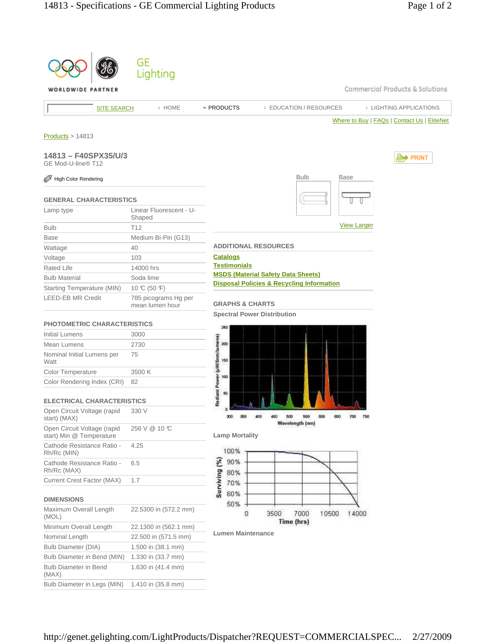|                                                         | GЕ<br>Lighting                          |                                     |                                                      |                    |                                             |
|---------------------------------------------------------|-----------------------------------------|-------------------------------------|------------------------------------------------------|--------------------|---------------------------------------------|
| WORLDWIDE PARTNER                                       |                                         |                                     |                                                      |                    | Commercial Products & Solutions             |
| <b>SITE SEARCH</b>                                      | > HOME                                  | * PRODUCTS                          | <b>EDUCATION / RESOURCES</b>                         |                    | <b>EIGHTING APPLICATIONS</b>                |
| Products > 14813                                        |                                         |                                     |                                                      |                    | Where to Buy   FAQs   Contact Us   EliteNet |
| 14813 - F40SPX35/U/3<br>GE Mod-U-line® T12              |                                         |                                     |                                                      |                    | <b>I≜† PRINT</b>                            |
| High Color Rendering                                    |                                         |                                     | <b>Bulb</b>                                          | <b>Base</b>        |                                             |
| <b>GENERAL CHARACTERISTICS</b>                          |                                         |                                     |                                                      |                    |                                             |
| Lamp type                                               | Linear Fluorescent - U-<br>Shaped       |                                     |                                                      |                    |                                             |
| <b>Bulb</b>                                             | T <sub>12</sub>                         |                                     |                                                      | <b>View Larger</b> |                                             |
| <b>Base</b>                                             | Medium Bi-Pin (G13)                     |                                     |                                                      |                    |                                             |
| Wattage                                                 | 40                                      |                                     | <b>ADDITIONAL RESOURCES</b>                          |                    |                                             |
| Voltage                                                 | 103                                     | <b>Catalogs</b>                     |                                                      |                    |                                             |
| <b>Rated Life</b>                                       | 14000 hrs                               | <b>Testimonials</b>                 |                                                      |                    |                                             |
| <b>Bulb Material</b>                                    | Soda lime                               |                                     | <b>MSDS (Material Safety Data Sheets)</b>            |                    |                                             |
| Starting Temperature (MIN)                              | 10 °C (50 °F)                           |                                     | <b>Disposal Policies &amp; Recycling Information</b> |                    |                                             |
| <b>LEED-EB MR Credit</b>                                | 785 picograms Hg per<br>mean lumen hour | <b>GRAPHS &amp; CHARTS</b>          |                                                      |                    |                                             |
| <b>PHOTOMETRIC CHARACTERISTICS</b>                      |                                         |                                     | <b>Spectral Power Distribution</b>                   |                    |                                             |
| <b>Initial Lumens</b>                                   | 3000                                    | 260                                 |                                                      |                    |                                             |
| Mean Lumens                                             | 2730                                    | $200\,$                             |                                                      |                    |                                             |
| Nominal Initial Lumens per                              | 75                                      |                                     |                                                      |                    |                                             |
| Watt                                                    |                                         | 150                                 |                                                      |                    |                                             |
| <b>Color Temperature</b>                                | 3500 K                                  | 100                                 |                                                      |                    |                                             |
| Color Rendering Index (CRI)                             | 82                                      | Radiant Power (µWi5nm/lumens)<br>60 |                                                      |                    |                                             |
| ELECTRICAL CHARACTERISTICS                              |                                         |                                     |                                                      |                    |                                             |
| Open Circuit Voltage (rapid<br>start) (MAX)             | 330 V                                   |                                     | 600<br>Wavelength (nm)                               | ſδÛ                |                                             |
| Open Circuit Voltage (rapid<br>start) Min @ Temperature | 256 V @ 10 °C                           | <b>Lamp Mortality</b>               |                                                      |                    |                                             |
| Cathode Resistance Ratio -<br>Rh/Rc (MIN)               | 4.25                                    | 100%                                |                                                      |                    |                                             |
| Cathode Resistance Ratio -<br>Rh/Rc (MAX)               | 6.5                                     | Surviving (%)<br>90%<br>80%         |                                                      |                    |                                             |
| <b>Current Crest Factor (MAX)</b>                       | 1.7                                     | 70%                                 |                                                      |                    |                                             |
| <b>DIMENSIONS</b>                                       |                                         | 60%<br>50%                          |                                                      |                    |                                             |
| Maximum Overall Length<br>(MOL)                         | 22.5300 in (572.2 mm)                   | o                                   | 7000<br>3500<br>10500                                | 14000              |                                             |
| Minimum Overall Length                                  | 22.1300 in (562.1 mm)                   |                                     | Time (hrs)                                           |                    |                                             |
| Nominal Length                                          | 22.500 in (571.5 mm)                    | <b>Lumen Maintenance</b>            |                                                      |                    |                                             |
| <b>Bulb Diameter (DIA)</b>                              | 1.500 in (38.1 mm)                      |                                     |                                                      |                    |                                             |
| Bulb Diameter in Bend (MIN)                             | 1.330 in (33.7 mm)                      |                                     |                                                      |                    |                                             |
| <b>Bulb Diameter in Bend</b><br>(MAX)                   | 1.630 in (41.4 mm)                      |                                     |                                                      |                    |                                             |
| Bulb Diameter in Legs (MIN)                             | 1.410 in (35.8 mm)                      |                                     |                                                      |                    |                                             |